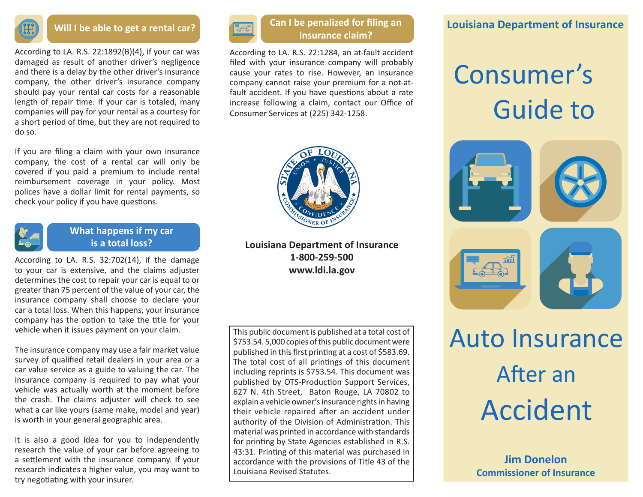

#### **Will I be able to get a rental car?**

According to LA. R.S. 22:1892(B)(4), if your car was damaged as result of another driver's negligence and there is a delay by the other driver's insurance company, the other driver's insurance company should pay your rental car costs for a reasonable length of repair time. If your car is totaled, many companies will pay for your rental as a courtesy for a short period of time, but they are not required to do so.

If you are filing a claim with your own insurance company, the cost of a rental car will only be covered if you paid a premium to include rental reimbursement coverage in your policy. Most polices have a dollar limit for rental payments, so check your policy if you have questions.



### **What happens if my car is a total loss?**

According to LA. R.S. 32:702(14), if the damage to your car is extensive, and the claims adjuster determines the cost to repair your car is equal to or greater than 75 percent of the value of your car, the insurance company shall choose to declare your car a total loss. When this happens, your insurance company has the option to take the title for your vehicle when it issues payment on your claim.

The insurance company may use a fair market value survey of qualified retail dealers in your area or a car value service as a guide to valuing the car. The insurance company is required to pay what your vehicle was actually worth at the moment before the crash. The claims adjuster will check to see what a car like yours (same make, model and year) is worth in your general geographic area.

It is also a good idea for you to independently research the value of your car before agreeing to a settlement with the insurance company. If your research indicates a higher value, you may want to try negotiating with your insurer.



### **Can I be penalized for filing an insurance claim?**

According to LA. R.S. 22:1284, an at-fault accident filed with your insurance company will probably cause your rates to rise. However, an insurance company cannot raise your premium for a not-atfault accident. If you have questions about a rate increase following a claim, contact our Office of Consumer Services at (225) 342-1258.



**Louisiana Department of Insurance 1-800-259-500 www.ldi.la.gov**

This public document is published at a total cost of \$753.54. 5,000 copies of this public document were published in this first printing at a cost of \$583.69. The total cost of all printings of this document including reprints is \$753.54. This document was published by OTS-Production Support Services, 627 N. 4th Street, Baton Rouge, LA 70802 to explain a vehicle owner's insurance rights in having their vehicle repaired after an accident under authority of the Division of Administration. This material was printed in accordance with standards for printing by State Agencies established in R.S. 43:31. Printing of this material was purchased in accordance with the provisions of Title 43 of the Louisiana Revised Statutes.

### **Louisiana Department of Insurance**

## Consumer's Guide to



# Auto Insurance After an Accident

**Jim Donelon Commissioner of Insurance**